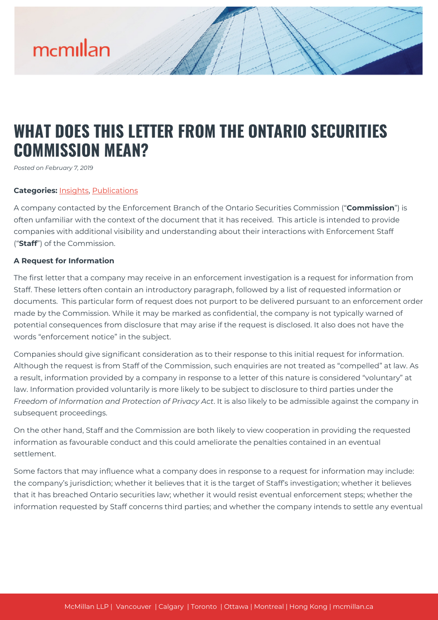# mcmillan

# **WHAT DOES THIS LETTER FROM THE ONTARIO SECURITIES COMMISSION MEAN?**

*Posted on February 7, 2019*

## **Categories:** [Insights,](https://mcmillan.ca/insights/) [Publications](https://mcmillan.ca/insights/publications/)

A company contacted by the Enforcement Branch of the Ontario Securities Commission ("**Commission**") is often unfamiliar with the context of the document that it has received. This article is intended to provide companies with additional visibility and understanding about their interactions with Enforcement Staff ("**Staff**") of the Commission.

#### **A Request for Information**

The first letter that a company may receive in an enforcement investigation is a request for information from Staff. These letters often contain an introductory paragraph, followed by a list of requested information or documents. This particular form of request does not purport to be delivered pursuant to an enforcement order made by the Commission. While it may be marked as confidential, the company is not typically warned of potential consequences from disclosure that may arise if the request is disclosed. It also does not have the words "enforcement notice" in the subject.

Companies should give significant consideration as to their response to this initial request for information. Although the request is from Staff of the Commission, such enquiries are not treated as "compelled" at law. As a result, information provided by a company in response to a letter of this nature is considered "voluntary" at law. Information provided voluntarily is more likely to be subject to disclosure to third parties under the *Freedom of Information and Protection of Privacy Act*. It is also likely to be admissible against the company in subsequent proceedings.

On the other hand, Staff and the Commission are both likely to view cooperation in providing the requested information as favourable conduct and this could ameliorate the penalties contained in an eventual settlement.

Some factors that may influence what a company does in response to a request for information may include: the company's jurisdiction; whether it believes that it is the target of Staff's investigation; whether it believes that it has breached Ontario securities law; whether it would resist eventual enforcement steps; whether the information requested by Staff concerns third parties; and whether the company intends to settle any eventual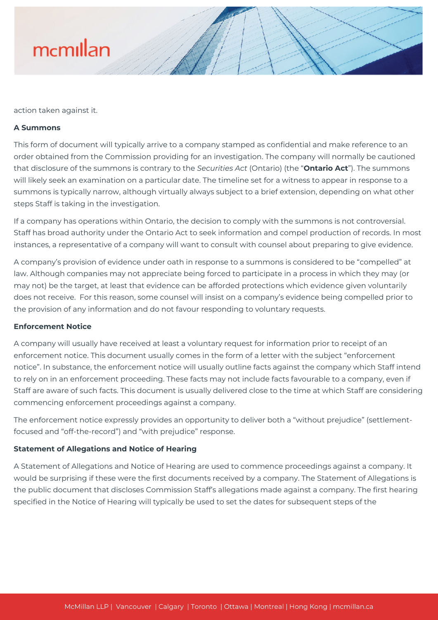

action taken against it.

#### **A Summons**

This form of document will typically arrive to a company stamped as confidential and make reference to an order obtained from the Commission providing for an investigation. The company will normally be cautioned that disclosure of the summons is contrary to the *Securities Act* (Ontario) (the "**Ontario Act**"). The summons will likely seek an examination on a particular date. The timeline set for a witness to appear in response to a summons is typically narrow, although virtually always subject to a brief extension, depending on what other steps Staff is taking in the investigation.

If a company has operations within Ontario, the decision to comply with the summons is not controversial. Staff has broad authority under the Ontario Act to seek information and compel production of records. In most instances, a representative of a company will want to consult with counsel about preparing to give evidence.

A company's provision of evidence under oath in response to a summons is considered to be "compelled" at law. Although companies may not appreciate being forced to participate in a process in which they may (or may not) be the target, at least that evidence can be afforded protections which evidence given voluntarily does not receive. For this reason, some counsel will insist on a company's evidence being compelled prior to the provision of any information and do not favour responding to voluntary requests.

#### **Enforcement Notice**

A company will usually have received at least a voluntary request for information prior to receipt of an enforcement notice. This document usually comes in the form of a letter with the subject "enforcement notice". In substance, the enforcement notice will usually outline facts against the company which Staff intend to rely on in an enforcement proceeding. These facts may not include facts favourable to a company, even if Staff are aware of such facts. This document is usually delivered close to the time at which Staff are considering commencing enforcement proceedings against a company.

The enforcement notice expressly provides an opportunity to deliver both a "without prejudice" (settlementfocused and "off-the-record") and "with prejudice" response.

# **Statement of Allegations and Notice of Hearing**

A Statement of Allegations and Notice of Hearing are used to commence proceedings against a company. It would be surprising if these were the first documents received by a company. The Statement of Allegations is the public document that discloses Commission Staff's allegations made against a company. The first hearing specified in the Notice of Hearing will typically be used to set the dates for subsequent steps of the